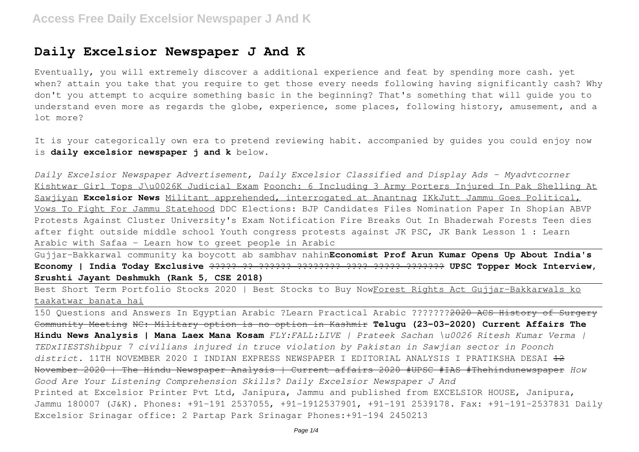## **Daily Excelsior Newspaper J And K**

Eventually, you will extremely discover a additional experience and feat by spending more cash. yet when? attain you take that you require to get those every needs following having significantly cash? Why don't you attempt to acquire something basic in the beginning? That's something that will guide you to understand even more as regards the globe, experience, some places, following history, amusement, and a lot more?

It is your categorically own era to pretend reviewing habit. accompanied by guides you could enjoy now is **daily excelsior newspaper j and k** below.

*Daily Excelsior Newspaper Advertisement, Daily Excelsior Classified and Display Ads - Myadvtcorner* Kishtwar Girl Tops J\u0026K Judicial Exam Poonch: 6 Including 3 Army Porters Injured In Pak Shelling At Sawjiyan **Excelsior News** Militant apprehended, interrogated at Anantnag IKkJutt Jammu Goes Political, Vows To Fight For Jammu Statehood DDC Elections: BJP Candidates Files Nomination Paper In Shopian ABVP Protests Against Cluster University's Exam Notification Fire Breaks Out In Bhaderwah Forests Teen dies after fight outside middle school Youth congress protests against JK PSC, JK Bank Lesson 1 : Learn Arabic with Safaa - Learn how to greet people in Arabic

Gujjar-Bakkarwal community ka boycott ab sambhav nahin**Economist Prof Arun Kumar Opens Up About India's Economy | India Today Exclusive** ????? ?? ?????? ???????? ???? ????? ??????? **UPSC Topper Mock Interview, Srushti Jayant Deshmukh (Rank 5, CSE 2018)**

Best Short Term Portfolio Stocks 2020 | Best Stocks to Buy NowForest Rights Act Gujjar-Bakkarwals ko taakatwar banata hai

150 Questions and Answers In Egyptian Arabic ?Learn Practical Arabic ???????2020 ACS History of Surgery Community Meeting NC: Military option is no option in Kashmir **Telugu (23-03-2020) Current Affairs The Hindu News Analysis | Mana Laex Mana Kosam** *FLY:FALL:LIVE | Prateek Sachan \u0026 Ritesh Kumar Verma | TEDxIIESTShibpur 7 civilians injured in truce violation by Pakistan in Sawjian sector in Poonch* district. 11TH NOVEMBER 2020 I INDIAN EXPRESS NEWSPAPER I EDITORIAL ANALYSIS I PRATIKSHA DESAI <del>12</del> November 2020 | The Hindu Newspaper Analysis | Current affairs 2020 #UPSC #IAS #Thehindunewspaper *How Good Are Your Listening Comprehension Skills? Daily Excelsior Newspaper J And* Printed at Excelsior Printer Pvt Ltd, Janipura, Jammu and published from EXCELSIOR HOUSE, Janipura, Jammu 180007 (J&K). Phones: +91-191 2537055, +91-1912537901, +91-191 2539178. Fax: +91-191-2537831 Daily Excelsior Srinagar office: 2 Partap Park Srinagar Phones:+91-194 2450213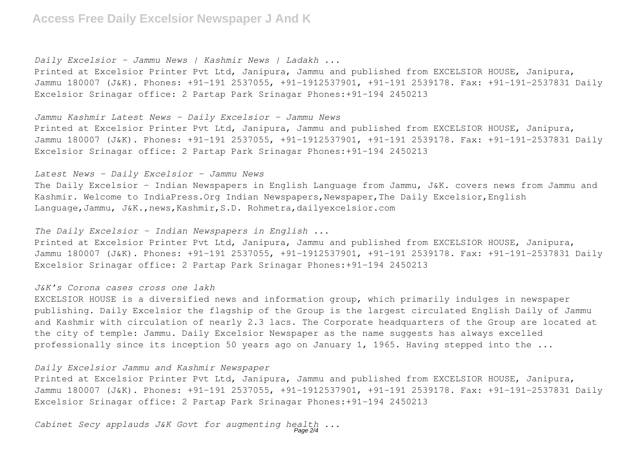## **Access Free Daily Excelsior Newspaper J And K**

*Daily Excelsior - Jammu News | Kashmir News | Ladakh ...*

Printed at Excelsior Printer Pvt Ltd, Janipura, Jammu and published from EXCELSIOR HOUSE, Janipura, Jammu 180007 (J&K). Phones: +91-191 2537055, +91-1912537901, +91-191 2539178. Fax: +91-191-2537831 Daily Excelsior Srinagar office: 2 Partap Park Srinagar Phones:+91-194 2450213

*Jammu Kashmir Latest News - Daily Excelsior - Jammu News*

Printed at Excelsior Printer Pvt Ltd, Janipura, Jammu and published from EXCELSIOR HOUSE, Janipura, Jammu 180007 (J&K). Phones: +91-191 2537055, +91-1912537901, +91-191 2539178. Fax: +91-191-2537831 Daily Excelsior Srinagar office: 2 Partap Park Srinagar Phones:+91-194 2450213

*Latest News - Daily Excelsior - Jammu News*

The Daily Excelsior - Indian Newspapers in English Language from Jammu, J&K. covers news from Jammu and Kashmir. Welcome to IndiaPress. Org Indian Newspapers, Newspaper, The Daily Excelsior, English Language,Jammu, J&K.,news,Kashmir,S.D. Rohmetra,dailyexcelsior.com

*The Daily Excelsior - Indian Newspapers in English ...*

Printed at Excelsior Printer Pvt Ltd, Janipura, Jammu and published from EXCELSIOR HOUSE, Janipura, Jammu 180007 (J&K). Phones: +91-191 2537055, +91-1912537901, +91-191 2539178. Fax: +91-191-2537831 Daily Excelsior Srinagar office: 2 Partap Park Srinagar Phones:+91-194 2450213

#### *J&K's Corona cases cross one lakh*

EXCELSIOR HOUSE is a diversified news and information group, which primarily indulges in newspaper publishing. Daily Excelsior the flagship of the Group is the largest circulated English Daily of Jammu and Kashmir with circulation of nearly 2.3 lacs. The Corporate headquarters of the Group are located at the city of temple: Jammu. Daily Excelsior Newspaper as the name suggests has always excelled professionally since its inception 50 years ago on January 1, 1965. Having stepped into the ...

#### *Daily Excelsior Jammu and Kashmir Newspaper*

Printed at Excelsior Printer Pvt Ltd, Janipura, Jammu and published from EXCELSIOR HOUSE, Janipura, Jammu 180007 (J&K). Phones: +91-191 2537055, +91-1912537901, +91-191 2539178. Fax: +91-191-2537831 Daily Excelsior Srinagar office: 2 Partap Park Srinagar Phones:+91-194 2450213

Cabinet Secy applauds J&K Govt for augmenting health ...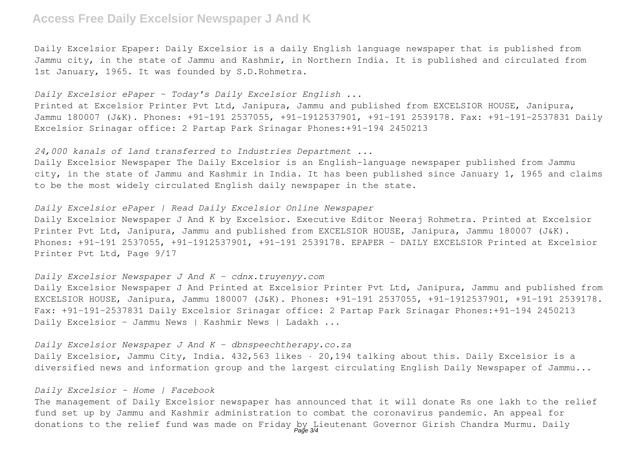# **Access Free Daily Excelsior Newspaper J And K**

Daily Excelsior Epaper: Daily Excelsior is a daily English language newspaper that is published from Jammu city, in the state of Jammu and Kashmir, in Northern India. It is published and circulated from 1st January, 1965. It was founded by S.D.Rohmetra.

### *Daily Excelsior ePaper - Today's Daily Excelsior English ...*

Printed at Excelsior Printer Pvt Ltd, Janipura, Jammu and published from EXCELSIOR HOUSE, Janipura, Jammu 180007 (J&K). Phones: +91-191 2537055, +91-1912537901, +91-191 2539178. Fax: +91-191-2537831 Daily Excelsior Srinagar office: 2 Partap Park Srinagar Phones:+91-194 2450213

### *24,000 kanals of land transferred to Industries Department ...*

Daily Excelsior Newspaper The Daily Excelsior is an English-language newspaper published from Jammu city, in the state of Jammu and Kashmir in India. It has been published since January 1, 1965 and claims to be the most widely circulated English daily newspaper in the state.

#### *Daily Excelsior ePaper | Read Daily Excelsior Online Newspaper*

Daily Excelsior Newspaper J And K by Excelsior. Executive Editor Neeraj Rohmetra. Printed at Excelsior Printer Pvt Ltd, Janipura, Jammu and published from EXCELSIOR HOUSE, Janipura, Jammu 180007 (J&K). Phones: +91-191 2537055, +91-1912537901, +91-191 2539178. EPAPER - DAILY EXCELSIOR Printed at Excelsior Printer Pvt Ltd, Page 9/17

#### *Daily Excelsior Newspaper J And K - cdnx.truyenyy.com*

Daily Excelsior Newspaper J And Printed at Excelsior Printer Pvt Ltd, Janipura, Jammu and published from EXCELSIOR HOUSE, Janipura, Jammu 180007 (J&K). Phones: +91-191 2537055, +91-1912537901, +91-191 2539178. Fax: +91-191-2537831 Daily Excelsior Srinagar office: 2 Partap Park Srinagar Phones:+91-194 2450213 Daily Excelsior - Jammu News | Kashmir News | Ladakh ...

#### *Daily Excelsior Newspaper J And K - dbnspeechtherapy.co.za*

Daily Excelsior, Jammu City, India. 432,563 likes · 20,194 talking about this. Daily Excelsior is a diversified news and information group and the largest circulating English Daily Newspaper of Jammu...

#### *Daily Excelsior - Home | Facebook*

The management of Daily Excelsior newspaper has announced that it will donate Rs one lakh to the relief fund set up by Jammu and Kashmir administration to combat the coronavirus pandemic. An appeal for donations to the relief fund was made on Friday by Lieutenant Governor Girish Chandra Murmu. Daily